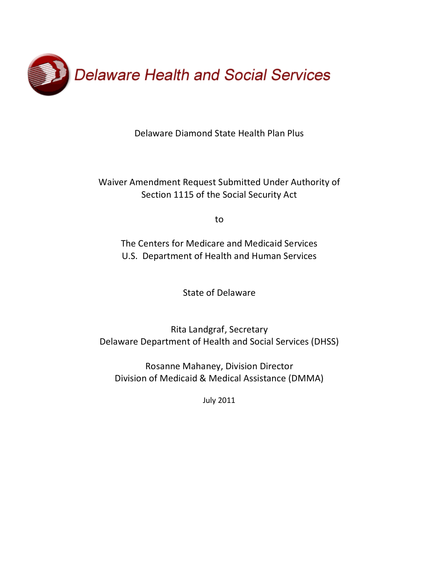

Delaware Diamond State Health Plan Plus

Waiver Amendment Request Submitted Under Authority of Section 1115 of the Social Security Act

to

The Centers for Medicare and Medicaid Services U.S. Department of Health and Human Services

State of Delaware

Rita Landgraf, Secretary Delaware Department of Health and Social Services (DHSS)

Rosanne Mahaney, Division Director Division of Medicaid & Medical Assistance (DMMA)

July 2011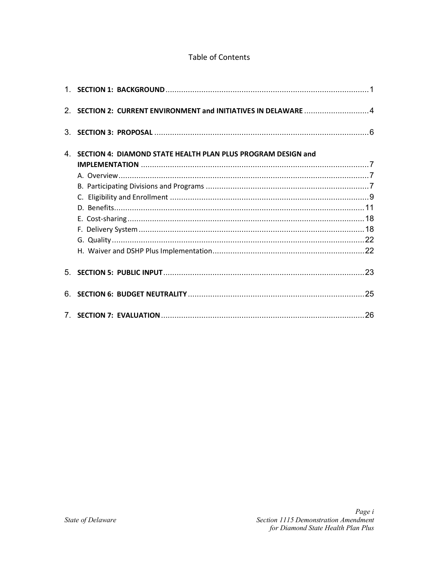# Table of Contents

| 2. SECTION 2: CURRENT ENVIRONMENT and INITIATIVES IN DELAWARE 4 |  |
|-----------------------------------------------------------------|--|
|                                                                 |  |
| 4. SECTION 4: DIAMOND STATE HEALTH PLAN PLUS PROGRAM DESIGN and |  |
|                                                                 |  |
|                                                                 |  |
|                                                                 |  |
|                                                                 |  |
|                                                                 |  |
|                                                                 |  |
|                                                                 |  |
|                                                                 |  |
|                                                                 |  |
|                                                                 |  |
|                                                                 |  |
|                                                                 |  |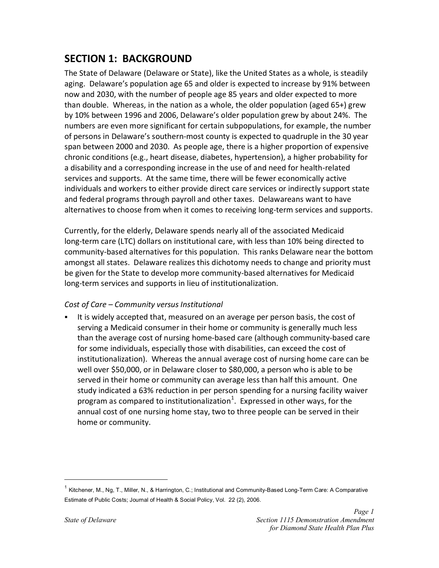# <span id="page-2-0"></span>**SECTION 1: BACKGROUND**

The State of Delaware (Delaware or State), like the United States as a whole, is steadily aging. Delaware's population age 65 and older is expected to increase by 91% between now and 2030, with the number of people age 85 years and older expected to more than double. Whereas, in the nation as a whole, the older population (aged 65+) grew by 10% between 1996 and 2006, Delaware's older population grew by about 24%. The numbers are even more significant for certain subpopulations, for example, the number of persons in Delaware's southern-most county is expected to quadruple in the 30 year span between 2000 and 2030. As people age, there is a higher proportion of expensive chronic conditions (e.g., heart disease, diabetes, hypertension), a higher probability for a disability and a corresponding increase in the use of and need for health-related services and supports. At the same time, there will be fewer economically active individuals and workers to either provide direct care services or indirectly support state and federal programs through payroll and other taxes. Delawareans want to have alternatives to choose from when it comes to receiving long-term services and supports.

Currently, for the elderly, Delaware spends nearly all of the associated Medicaid long-term care (LTC) dollars on institutional care, with less than 10% being directed to community-based alternatives for this population. This ranks Delaware near the bottom amongst all states. Delaware realizes this dichotomy needs to change and priority must be given for the State to develop more community-based alternatives for Medicaid long-term services and supports in lieu of institutionalization.

### *Cost of Care – Community versus Institutional*

 It is widely accepted that, measured on an average per person basis, the cost of serving a Medicaid consumer in their home or community is generally much less than the average cost of nursing home-based care (although community-based care for some individuals, especially those with disabilities, can exceed the cost of institutionalization). Whereas the annual average cost of nursing home care can be well over \$50,000, or in Delaware closer to \$80,000, a person who is able to be served in their home or community can average less than half this amount. One study indicated a 63% reduction in per person spending for a nursing facility waiver program as compared to institutionalization<sup>1</sup>[.](#page-2-1) Expressed in other ways, for the annual cost of one nursing home stay, two to three people can be served in their home or community.

 $\overline{a}$ 

<span id="page-2-1"></span> $1$  Kitchener, M., Ng, T., Miller, N., & Harrington, C.; Institutional and Community-Based Long-Term Care: A Comparative Estimate of Public Costs; Journal of Health & Social Policy, Vol. 22 (2), 2006.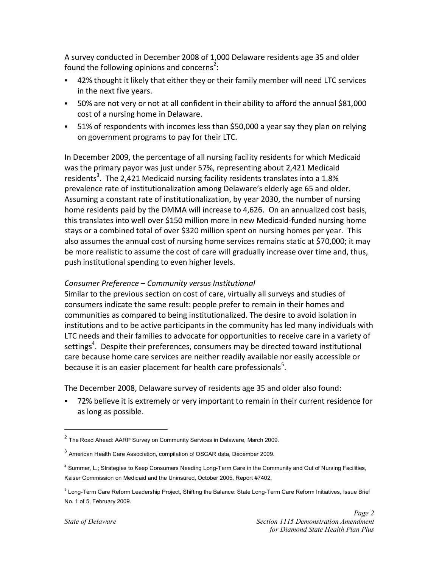A survey conducted in December 2008 of 1,000 Delaware residents age 35 and older found the following opinions and concerns<sup>2</sup>:

- 42% thought it likely that either they or their family member will need LTC services in the next five years.
- 50% are not very or not at all confident in their ability to afford the annual \$81,000 cost of a nursing home in Delaware.
- 51% of respondents with incomes less than \$50,000 a year say they plan on relying on government programs to pay for their LTC.

In December 2009, the percentage of all nursing facility residents for which Medicaid was the primary payor was just under 57%, representing about 2,421 Medicaid residents<sup>3</sup>[.](#page-3-1) The 2,421 Medicaid nursing facility residents translates into a 1.8% prevalence rate of institutionalization among Delaware's elderly age 65 and older. Assuming a constant rate of institutionalization, by year 2030, the number of nursing home residents paid by the DMMA will increase to 4,626. On an annualized cost basis, this translates into well over \$150 million more in new Medicaid-funded nursing home stays or a combined total of over \$320 million spent on nursing homes per year. This also assumes the annual cost of nursing home services remains static at \$70,000; it may be more realistic to assume the cost of care will gradually increase over time and, thus, push institutional spending to even higher levels.

## *Consumer Preference – Community versus Institutional*

Similar to the previous section on cost of care, virtually all surveys and studies of consumers indicate the same result: people prefer to remain in their homes and communities as compared to being institutionalized. The desire to avoid isolation in institutions and to be active participants in the community has led many individuals with LTC needs and their families to advocate for opportunities to receive care in a variety of settings<sup>4</sup>. Despite their preferences, consumers may be directed toward institutional care because home care services are neither readily available nor easily accessible or because it is an easier placement for health care professionals<sup>5</sup>.

The December 2008, Delaware survey of residents age 35 and older also found:

 72% believe it is extremely or very important to remain in their current residence for as long as possible.

<u>.</u>

<span id="page-3-0"></span><sup>2</sup> The Road Ahead: AARP Survey on Community Services in Delaware, March 2009.

<span id="page-3-1"></span><sup>&</sup>lt;sup>3</sup> American Health Care Association, compilation of OSCAR data, December 2009.

<span id="page-3-2"></span><sup>4</sup> Summer, L.; Strategies to Keep Consumers Needing Long-Term Care in the Community and Out of Nursing Facilities, Kaiser Commission on Medicaid and the Uninsured, October 2005, Report #7402.

<span id="page-3-3"></span> $^5$  Long-Term Care Reform Leadership Project, Shifting the Balance: State Long-Term Care Reform Initiatives, Issue Brief No. 1 of 5, February 2009.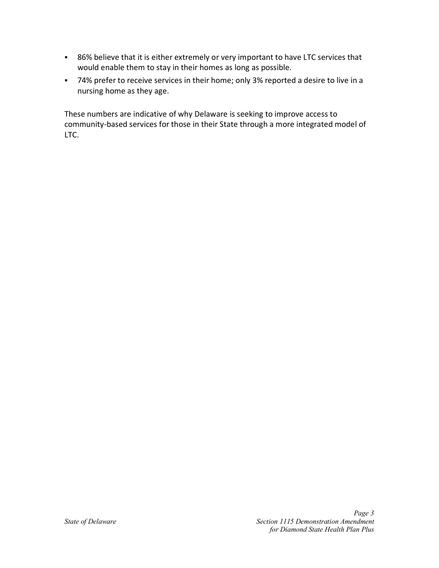- 86% believe that it is either extremely or very important to have LTC services that would enable them to stay in their homes as long as possible.
- 74% prefer to receive services in their home; only 3% reported a desire to live in a nursing home as they age.

These numbers are indicative of why Delaware is seeking to improve access to community-based services for those in their State through a more integrated model of LTC.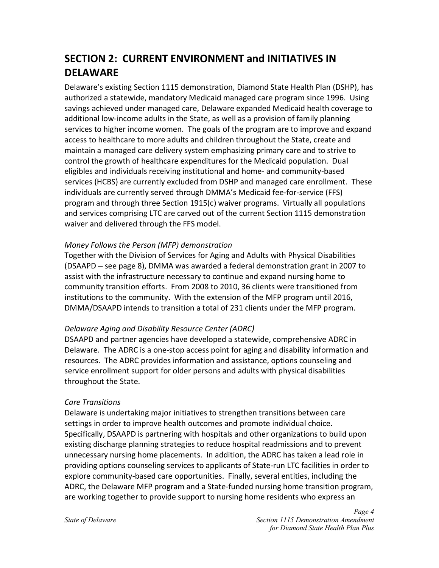# <span id="page-5-0"></span>**SECTION 2: CURRENT ENVIRONMENT and INITIATIVES IN DELAWARE**

Delaware's existing Section 1115 demonstration, Diamond State Health Plan (DSHP), has authorized a statewide, mandatory Medicaid managed care program since 1996. Using savings achieved under managed care, Delaware expanded Medicaid health coverage to additional low-income adults in the State, as well as a provision of family planning services to higher income women. The goals of the program are to improve and expand access to healthcare to more adults and children throughout the State, create and maintain a managed care delivery system emphasizing primary care and to strive to control the growth of healthcare expenditures for the Medicaid population. Dual eligibles and individuals receiving institutional and home- and community-based services (HCBS) are currently excluded from DSHP and managed care enrollment. These individuals are currently served through DMMA's Medicaid fee-for-service (FFS) program and through three Section 1915(c) waiver programs. Virtually all populations and services comprising LTC are carved out of the current Section 1115 demonstration waiver and delivered through the FFS model.

## *Money Follows the Person (MFP) demonstration*

Together with the Division of Services for Aging and Adults with Physical Disabilities (DSAAPD – see page 8), DMMA was awarded a federal demonstration grant in 2007 to assist with the infrastructure necessary to continue and expand nursing home to community transition efforts. From 2008 to 2010, 36 clients were transitioned from institutions to the community. With the extension of the MFP program until 2016, DMMA/DSAAPD intends to transition a total of 231 clients under the MFP program.

### *Delaware Aging and Disability Resource Center (ADRC)*

DSAAPD and partner agencies have developed a statewide, comprehensive ADRC in Delaware. The ADRC is a one-stop access point for aging and disability information and resources. The ADRC provides information and assistance, options counseling and service enrollment support for older persons and adults with physical disabilities throughout the State.

### *Care Transitions*

Delaware is undertaking major initiatives to strengthen transitions between care settings in order to improve health outcomes and promote individual choice. Specifically, DSAAPD is partnering with hospitals and other organizations to build upon existing discharge planning strategies to reduce hospital readmissions and to prevent unnecessary nursing home placements. In addition, the ADRC has taken a lead role in providing options counseling services to applicants of State-run LTC facilities in order to explore community-based care opportunities. Finally, several entities, including the ADRC, the Delaware MFP program and a State-funded nursing home transition program, are working together to provide support to nursing home residents who express an

*Page 4*  **State of Delaware Section 1115 Demonstration Amendment**  Section 1115 Demonstration Amendment *for Diamond State Health Plan Plus*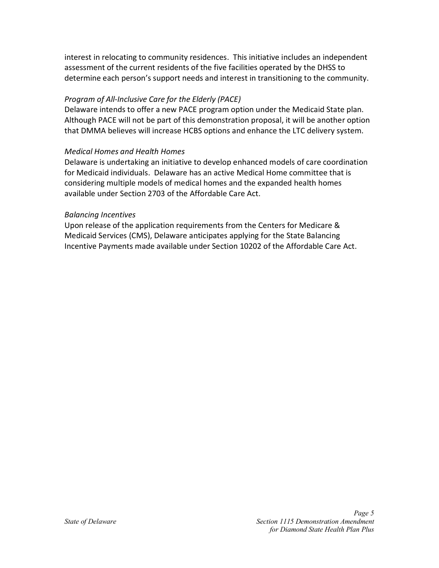interest in relocating to community residences. This initiative includes an independent assessment of the current residents of the five facilities operated by the DHSS to determine each person's support needs and interest in transitioning to the community.

## *Program of All-Inclusive Care for the Elderly (PACE)*

Delaware intends to offer a new PACE program option under the Medicaid State plan. Although PACE will not be part of this demonstration proposal, it will be another option that DMMA believes will increase HCBS options and enhance the LTC delivery system.

## *Medical Homes and Health Homes*

Delaware is undertaking an initiative to develop enhanced models of care coordination for Medicaid individuals. Delaware has an active Medical Home committee that is considering multiple models of medical homes and the expanded health homes available under Section 2703 of the Affordable Care Act.

### *Balancing Incentives*

Upon release of the application requirements from the Centers for Medicare & Medicaid Services (CMS), Delaware anticipates applying for the State Balancing Incentive Payments made available under Section 10202 of the Affordable Care Act.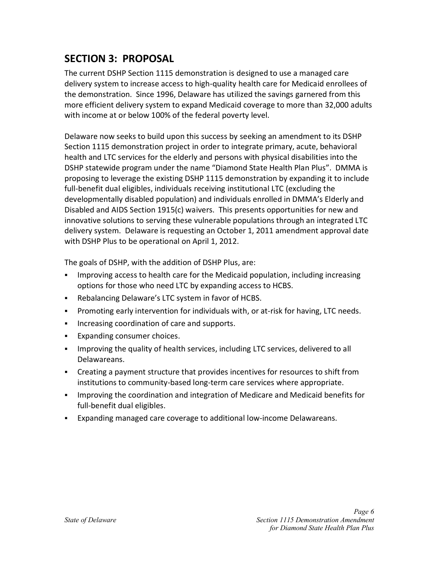# <span id="page-7-0"></span>**SECTION 3: PROPOSAL**

The current DSHP Section 1115 demonstration is designed to use a managed care delivery system to increase access to high-quality health care for Medicaid enrollees of the demonstration. Since 1996, Delaware has utilized the savings garnered from this more efficient delivery system to expand Medicaid coverage to more than 32,000 adults with income at or below 100% of the federal poverty level.

Delaware now seeks to build upon this success by seeking an amendment to its DSHP Section 1115 demonstration project in order to integrate primary, acute, behavioral health and LTC services for the elderly and persons with physical disabilities into the DSHP statewide program under the name "Diamond State Health Plan Plus". DMMA is proposing to leverage the existing DSHP 1115 demonstration by expanding it to include full-benefit dual eligibles, individuals receiving institutional LTC (excluding the developmentally disabled population) and individuals enrolled in DMMA's Elderly and Disabled and AIDS Section 1915(c) waivers. This presents opportunities for new and innovative solutions to serving these vulnerable populations through an integrated LTC delivery system. Delaware is requesting an October 1, 2011 amendment approval date with DSHP Plus to be operational on April 1, 2012.

The goals of DSHP, with the addition of DSHP Plus, are:

- Improving access to health care for the Medicaid population, including increasing options for those who need LTC by expanding access to HCBS.
- Rebalancing Delaware's LTC system in favor of HCBS.
- Promoting early intervention for individuals with, or at-risk for having, LTC needs.
- **Increasing coordination of care and supports.**
- **Expanding consumer choices.**
- **IMPROM** 1 method in proving the quality of health services, including LTC services, delivered to all Delawareans.
- Creating a payment structure that provides incentives for resources to shift from institutions to community-based long-term care services where appropriate.
- **IMPROM** 1 Improving the coordination and integration of Medicare and Medicaid benefits for full-benefit dual eligibles.
- Expanding managed care coverage to additional low-income Delawareans.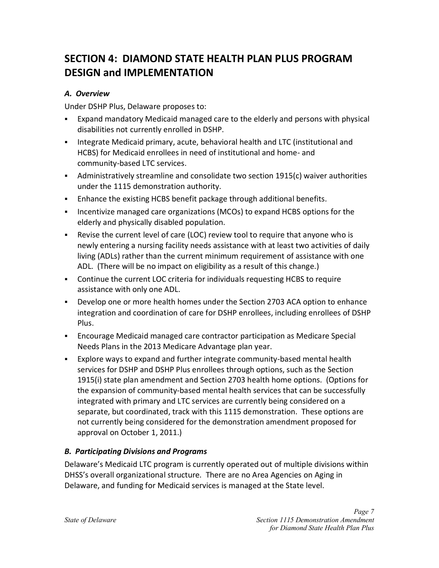# <span id="page-8-0"></span>**SECTION 4: DIAMOND STATE HEALTH PLAN PLUS PROGRAM DESIGN and IMPLEMENTATION**

# <span id="page-8-1"></span>*A. Overview*

Under DSHP Plus, Delaware proposes to:

- Expand mandatory Medicaid managed care to the elderly and persons with physical disabilities not currently enrolled in DSHP.
- **Integrate Medicaid primary, acute, behavioral health and LTC (institutional and** HCBS) for Medicaid enrollees in need of institutional and home- and community-based LTC services.
- Administratively streamline and consolidate two section 1915(c) waiver authorities under the 1115 demonstration authority.
- Enhance the existing HCBS benefit package through additional benefits.
- **Incentivize managed care organizations (MCOs) to expand HCBS options for the** elderly and physically disabled population.
- Revise the current level of care (LOC) review tool to require that anyone who is newly entering a nursing facility needs assistance with at least two activities of daily living (ADLs) rather than the current minimum requirement of assistance with one ADL. (There will be no impact on eligibility as a result of this change.)
- Continue the current LOC criteria for individuals requesting HCBS to require assistance with only one ADL.
- Develop one or more health homes under the Section 2703 ACA option to enhance integration and coordination of care for DSHP enrollees, including enrollees of DSHP Plus.
- Encourage Medicaid managed care contractor participation as Medicare Special Needs Plans in the 2013 Medicare Advantage plan year.
- Explore ways to expand and further integrate community-based mental health services for DSHP and DSHP Plus enrollees through options, such as the Section 1915(i) state plan amendment and Section 2703 health home options. (Options for the expansion of community-based mental health services that can be successfully integrated with primary and LTC services are currently being considered on a separate, but coordinated, track with this 1115 demonstration. These options are not currently being considered for the demonstration amendment proposed for approval on October 1, 2011.)

# <span id="page-8-2"></span>*B. Participating Divisions and Programs*

Delaware's Medicaid LTC program is currently operated out of multiple divisions within DHSS's overall organizational structure. There are no Area Agencies on Aging in Delaware, and funding for Medicaid services is managed at the State level.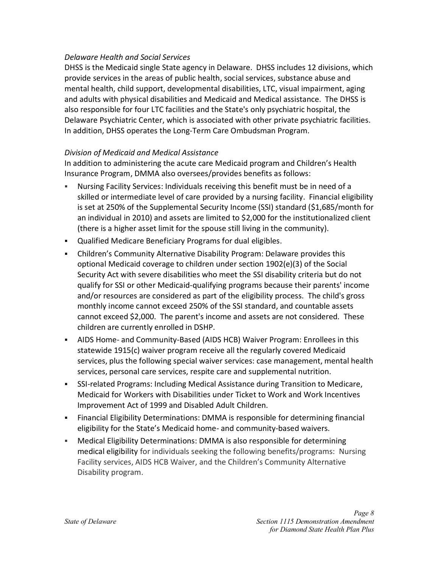#### *Delaware Health and Social Services*

DHSS is the Medicaid single State agency in Delaware. DHSS includes 12 divisions, which provide services in the areas of public health, social services, substance abuse and mental health, child support, developmental disabilities, LTC, visual impairment, aging and adults with physical disabilities and Medicaid and Medical assistance. The DHSS is also responsible for four LTC facilities and the State's only psychiatric hospital, the Delaware Psychiatric Center, which is associated with other private psychiatric facilities. In addition, DHSS operates the Long-Term Care Ombudsman Program.

#### *Division of Medicaid and Medical Assistance*

In addition to administering the acute care Medicaid program and Children's Health Insurance Program, DMMA also oversees/provides benefits as follows:

- Nursing Facility Services: Individuals receiving this benefit must be in need of a skilled or intermediate level of care provided by a nursing facility. Financial eligibility is set at 250% of the Supplemental Security Income (SSI) standard (\$1,685/month for an individual in 2010) and assets are limited to \$2,000 for the institutionalized client (there is a higher asset limit for the spouse still living in the community).
- Qualified Medicare Beneficiary Programs for dual eligibles.
- Children's Community Alternative Disability Program: Delaware provides this optional Medicaid coverage to children under section 1902(e)(3) of the Social Security Act with severe disabilities who meet the SSI disability criteria but do not qualify for SSI or other Medicaid-qualifying programs because their parents' income and/or resources are considered as part of the eligibility process. The child's gross monthly income cannot exceed 250% of the SSI standard, and countable assets cannot exceed \$2,000. The parent's income and assets are not considered. These children are currently enrolled in DSHP.
- AIDS Home- and Community-Based (AIDS HCB) Waiver Program: Enrollees in this statewide 1915(c) waiver program receive all the regularly covered Medicaid services, plus the following special waiver services: case management, mental health services, personal care services, respite care and supplemental nutrition.
- SSI-related Programs: Including Medical Assistance during Transition to Medicare, Medicaid for Workers with Disabilities under Ticket to Work and Work Incentives Improvement Act of 1999 and Disabled Adult Children.
- Financial Eligibility Determinations: DMMA is responsible for determining financial eligibility for the State's Medicaid home- and community-based waivers.
- Medical Eligibility Determinations: DMMA is also responsible for determining medical eligibility for individuals seeking the following benefits/programs: Nursing Facility services, AIDS HCB Waiver, and the Children's Community Alternative Disability program.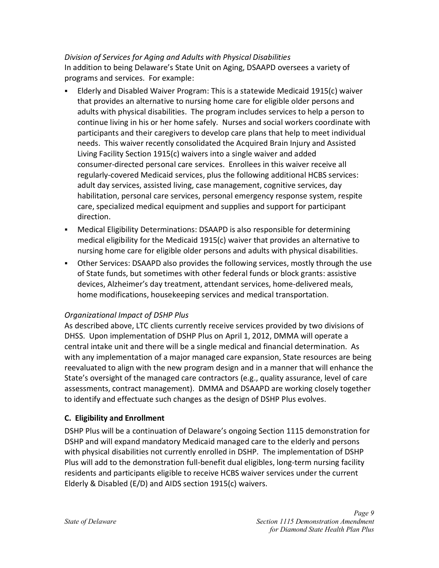## *Division of Services for Aging and Adults with Physical Disabilities*

In addition to being Delaware's State Unit on Aging, DSAAPD oversees a variety of programs and services. For example:

- Elderly and Disabled Waiver Program: This is a statewide Medicaid 1915(c) waiver that provides an alternative to nursing home care for eligible older persons and adults with physical disabilities. The program includes services to help a person to continue living in his or her home safely. Nurses and social workers coordinate with participants and their caregivers to develop care plans that help to meet individual needs. This waiver recently consolidated the Acquired Brain Injury and Assisted Living Facility Section 1915(c) waivers into a single waiver and added consumer-directed personal care services. Enrollees in this waiver receive all regularly-covered Medicaid services, plus the following additional HCBS services: adult day services, assisted living, case management, cognitive services, day habilitation, personal care services, personal emergency response system, respite care, specialized medical equipment and supplies and support for participant direction.
- Medical Eligibility Determinations: DSAAPD is also responsible for determining medical eligibility for the Medicaid 1915(c) waiver that provides an alternative to nursing home care for eligible older persons and adults with physical disabilities.
- Other Services: DSAAPD also provides the following services, mostly through the use of State funds, but sometimes with other federal funds or block grants: assistive devices, Alzheimer's day treatment, attendant services, home-delivered meals, home modifications, housekeeping services and medical transportation.

# *Organizational Impact of DSHP Plus*

As described above, LTC clients currently receive services provided by two divisions of DHSS. Upon implementation of DSHP Plus on April 1, 2012, DMMA will operate a central intake unit and there will be a single medical and financial determination. As with any implementation of a major managed care expansion, State resources are being reevaluated to align with the new program design and in a manner that will enhance the State's oversight of the managed care contractors (e.g., quality assurance, level of care assessments, contract management). DMMA and DSAAPD are working closely together to identify and effectuate such changes as the design of DSHP Plus evolves.

# <span id="page-10-1"></span><span id="page-10-0"></span>**C. Eligibility and Enrollment**

DSHP Plus will be a continuation of Delaware's ongoing Section 1115 demonstration for DSHP and will expand mandatory Medicaid managed care to the elderly and persons with physical disabilities not currently enrolled in DSHP. The implementation of DSHP Plus will add to the demonstration full-benefit dual eligibles, long-term nursing facility residents and participants eligible to receive HCBS waiver services under the current Elderly & Disabled (E/D) and AIDS section 1915(c) waivers.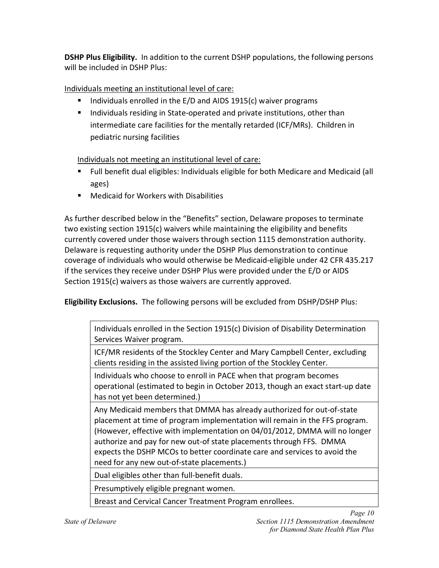**DSHP Plus Eligibility.** In addition to the current DSHP populations, the following persons will be included in DSHP Plus:

Individuals meeting an institutional level of care:

- Individuals enrolled in the  $E/D$  and AIDS 1915(c) waiver programs
- **I.** Individuals residing in State-operated and private institutions, other than intermediate care facilities for the mentally retarded (ICF/MRs). Children in pediatric nursing facilities

Individuals not meeting an institutional level of care:

- Full benefit dual eligibles: Individuals eligible for both Medicare and Medicaid (all ages)
- Medicaid for Workers with Disabilities

As further described below in the "Benefits" section, Delaware proposes to terminate two existing section 1915(c) waivers while maintaining the eligibility and benefits currently covered under those waivers through section 1115 demonstration authority. Delaware is requesting authority under the DSHP Plus demonstration to continue coverage of individuals who would otherwise be Medicaid-eligible under 42 CFR 435.217 if the services they receive under DSHP Plus were provided under the E/D or AIDS Section 1915(c) waivers as those waivers are currently approved.

**Eligibility Exclusions.** The following persons will be excluded from DSHP/DSHP Plus:

Individuals enrolled in the Section 1915(c) Division of Disability Determination Services Waiver program.

ICF/MR residents of the Stockley Center and Mary Campbell Center, excluding clients residing in the assisted living portion of the Stockley Center.

Individuals who choose to enroll in PACE when that program becomes operational (estimated to begin in October 2013, though an exact start-up date has not yet been determined.)

Any Medicaid members that DMMA has already authorized for out-of-state placement at time of program implementation will remain in the FFS program. (However, effective with implementation on 04/01/2012, DMMA will no longer authorize and pay for new out-of state placements through FFS. DMMA expects the DSHP MCOs to better coordinate care and services to avoid the need for any new out-of-state placements.)

Dual eligibles other than full-benefit duals.

Presumptively eligible pregnant women.

Breast and Cervical Cancer Treatment Program enrollees.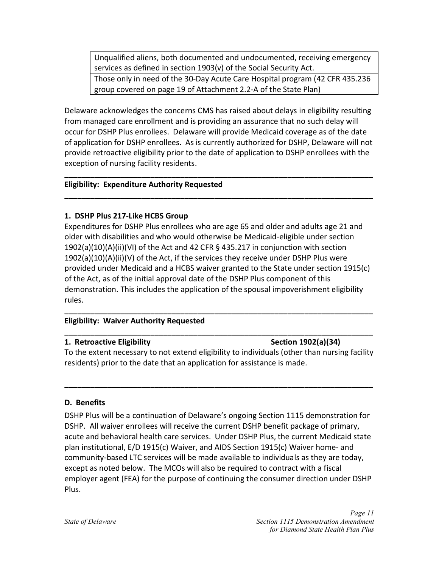Unqualified aliens, both documented and undocumented, receiving emergency services as defined in section 1903(v) of the Social Security Act. Those only in need of the 30-Day Acute Care Hospital program (42 CFR 435.236

Delaware acknowledges the concerns CMS has raised about delays in eligibility resulting from managed care enrollment and is providing an assurance that no such delay will occur for DSHP Plus enrollees. Delaware will provide Medicaid coverage as of the date of application for DSHP enrollees. As is currently authorized for DSHP, Delaware will not provide retroactive eligibility prior to the date of application to DSHP enrollees with the exception of nursing facility residents.

**\_\_\_\_\_\_\_\_\_\_\_\_\_\_\_\_\_\_\_\_\_\_\_\_\_\_\_\_\_\_\_\_\_\_\_\_\_\_\_\_\_\_\_\_\_\_\_\_\_\_\_\_\_\_\_\_\_\_\_\_\_\_\_\_\_\_\_\_\_\_\_\_** 

**\_\_\_\_\_\_\_\_\_\_\_\_\_\_\_\_\_\_\_\_\_\_\_\_\_\_\_\_\_\_\_\_\_\_\_\_\_\_\_\_\_\_\_\_\_\_\_\_\_\_\_\_\_\_\_\_\_\_\_\_\_\_\_\_\_\_\_\_\_\_\_\_** 

group covered on page 19 of Attachment 2.2-A of the State Plan)

#### **Eligibility: Expenditure Authority Requested**

#### **1. DSHP Plus 217-Like HCBS Group**

Expenditures for DSHP Plus enrollees who are age 65 and older and adults age 21 and older with disabilities and who would otherwise be Medicaid-eligible under section 1902(a)(10)(A)(ii)(VI) of the Act and 42 CFR § 435.217 in conjunction with section  $1902(a)(10)(A)(ii)(V)$  of the Act, if the services they receive under DSHP Plus were provided under Medicaid and a HCBS waiver granted to the State under section 1915(c) of the Act, as of the initial approval date of the DSHP Plus component of this demonstration. This includes the application of the spousal impoverishment eligibility rules.

#### **Eligibility: Waiver Authority Requested**

#### **1. Retroactive Eligibility Section 1902(a)(34)** Section 1902(a)(34)

To the extent necessary to not extend eligibility to individuals (other than nursing facility residents) prior to the date that an application for assistance is made.

**\_\_\_\_\_\_\_\_\_\_\_\_\_\_\_\_\_\_\_\_\_\_\_\_\_\_\_\_\_\_\_\_\_\_\_\_\_\_\_\_\_\_\_\_\_\_\_\_\_\_\_\_\_\_\_\_\_\_\_\_\_\_\_\_\_\_\_\_\_\_\_\_** 

**\_\_\_\_\_\_\_\_\_\_\_\_\_\_\_\_\_\_\_\_\_\_\_\_\_\_\_\_\_\_\_\_\_\_\_\_\_\_\_\_\_\_\_\_\_\_\_\_\_\_\_\_\_\_\_\_\_\_\_\_\_\_\_\_\_\_\_\_\_\_\_\_** 

**\_\_\_\_\_\_\_\_\_\_\_\_\_\_\_\_\_\_\_\_\_\_\_\_\_\_\_\_\_\_\_\_\_\_\_\_\_\_\_\_\_\_\_\_\_\_\_\_\_\_\_\_\_\_\_\_\_\_\_\_\_\_\_\_\_\_\_\_\_\_\_\_** 

### <span id="page-12-0"></span>**D. Benefits**

DSHP Plus will be a continuation of Delaware's ongoing Section 1115 demonstration for DSHP. All waiver enrollees will receive the current DSHP benefit package of primary, acute and behavioral health care services. Under DSHP Plus, the current Medicaid state plan institutional, E/D 1915(c) Waiver, and AIDS Section 1915(c) Waiver home- and community-based LTC services will be made available to individuals as they are today, except as noted below. The MCOs will also be required to contract with a fiscal employer agent (FEA) for the purpose of continuing the consumer direction under DSHP Plus.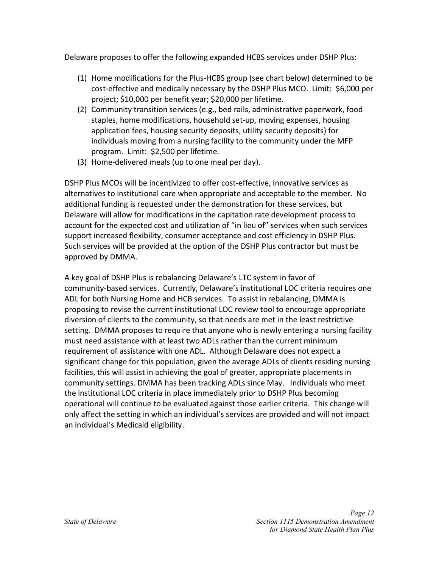Delaware proposes to offer the following expanded HCBS services under DSHP Plus:

- (1) Home modifications for the Plus-HCBS group (see chart below) determined to be cost-effective and medically necessary by the DSHP Plus MCO. Limit: \$6,000 per project; \$10,000 per benefit year; \$20,000 per lifetime.
- (2) Community transition services (e.g., bed rails, administrative paperwork, food staples, home modifications, household set-up, moving expenses, housing application fees, housing security deposits, utility security deposits) for individuals moving from a nursing facility to the community under the MFP program. Limit: \$2,500 per lifetime.
- (3) Home-delivered meals (up to one meal per day).

DSHP Plus MCOs will be incentivized to offer cost-effective, innovative services as alternatives to institutional care when appropriate and acceptable to the member. No additional funding is requested under the demonstration for these services, but Delaware will allow for modifications in the capitation rate development process to account for the expected cost and utilization of "in lieu of" services when such services support increased flexibility, consumer acceptance and cost efficiency in DSHP Plus. Such services will be provided at the option of the DSHP Plus contractor but must be approved by DMMA.

A key goal of DSHP Plus is rebalancing Delaware's LTC system in favor of community-based services. Currently, Delaware's institutional LOC criteria requires one ADL for both Nursing Home and HCB services. To assist in rebalancing, DMMA is proposing to revise the current institutional LOC review tool to encourage appropriate diversion of clients to the community, so that needs are met in the least restrictive setting. DMMA proposes to require that anyone who is newly entering a nursing facility must need assistance with at least two ADLs rather than the current minimum requirement of assistance with one ADL. Although Delaware does not expect a significant change for this population, given the average ADLs of clients residing nursing facilities, this will assist in achieving the goal of greater, appropriate placements in community settings. DMMA has been tracking ADLs since May. Individuals who meet the institutional LOC criteria in place immediately prior to DSHP Plus becoming operational will continue to be evaluated against those earlier criteria. This change will only affect the setting in which an individual's services are provided and will not impact an individual's Medicaid eligibility.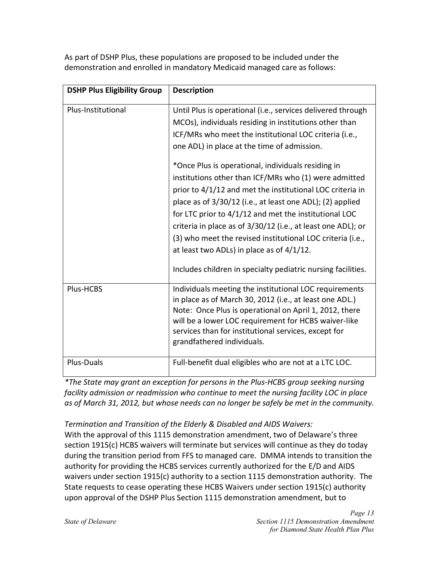**DSHP Plus Eligibility Group | Description** Plus-Institutional Until Plus is operational (i.e., services delivered through MCOs), individuals residing in institutions other than ICF/MRs who meet the institutional LOC criteria (i.e., one ADL) in place at the time of admission. \*Once Plus is operational, individuals residing in institutions other than ICF/MRs who (1) were admitted prior to 4/1/12 and met the institutional LOC criteria in place as of 3/30/12 (i.e., at least one ADL); (2) applied for LTC prior to 4/1/12 and met the institutional LOC criteria in place as of 3/30/12 (i.e., at least one ADL); or (3) who meet the revised institutional LOC criteria (i.e., at least two ADLs) in place as of 4/1/12. Includes children in specialty pediatric nursing facilities. Plus-HCBS | Individuals meeting the institutional LOC requirements in place as of March 30, 2012 (i.e., at least one ADL.) Note: Once Plus is operational on April 1, 2012, there will be a lower LOC requirement for HCBS waiver-like services than for institutional services, except for grandfathered individuals. Plus-Duals **Full-benefit dual eligibles who are not at a LTC LOC.** 

As part of DSHP Plus, these populations are proposed to be included under the demonstration and enrolled in mandatory Medicaid managed care as follows:

*\*The State may grant an exception for persons in the Plus-HCBS group seeking nursing facility admission or readmission who continue to meet the nursing facility LOC in place as of March 31, 2012, but whose needs can no longer be safely be met in the community.* 

*Termination and Transition of the Elderly & Disabled and AIDS Waivers:* 

With the approval of this 1115 demonstration amendment, two of Delaware's three section 1915(c) HCBS waivers will terminate but services will continue as they do today during the transition period from FFS to managed care. DMMA intends to transition the authority for providing the HCBS services currently authorized for the E/D and AIDS waivers under section 1915(c) authority to a section 1115 demonstration authority. The State requests to cease operating these HCBS Waivers under section 1915(c) authority upon approval of the DSHP Plus Section 1115 demonstration amendment, but to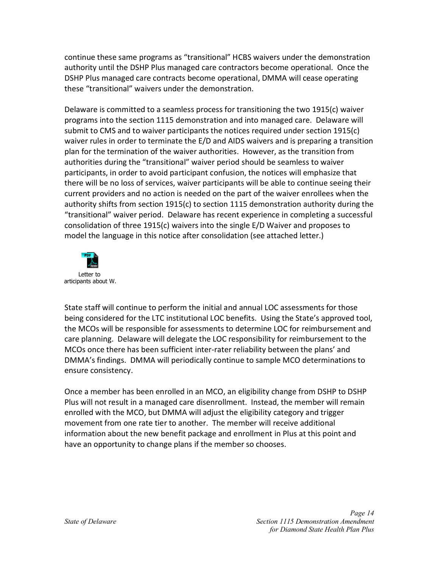continue these same programs as "transitional" HCBS waivers under the demonstration authority until the DSHP Plus managed care contractors become operational. Once the DSHP Plus managed care contracts become operational, DMMA will cease operating these "transitional" waivers under the demonstration.

Delaware is committed to a seamless process for transitioning the two 1915(c) waiver programs into the section 1115 demonstration and into managed care. Delaware will submit to CMS and to waiver participants the notices required under section 1915(c) waiver rules in order to terminate the E/D and AIDS waivers and is preparing a transition plan for the termination of the waiver authorities. However, as the transition from authorities during the "transitional" waiver period should be seamless to waiver participants, in order to avoid participant confusion, the notices will emphasize that there will be no loss of services, waiver participants will be able to continue seeing their current providers and no action is needed on the part of the waiver enrollees when the authority shifts from section 1915(c) to section 1115 demonstration authority during the "transitional" waiver period. Delaware has recent experience in completing a successful consolidation of three 1915(c) waivers into the single E/D Waiver and proposes to model the language in this notice after consolidation (see attached letter.)



State staff will continue to perform the initial and annual LOC assessments for those being considered for the LTC institutional LOC benefits. Using the State's approved tool, the MCOs will be responsible for assessments to determine LOC for reimbursement and care planning. Delaware will delegate the LOC responsibility for reimbursement to the MCOs once there has been sufficient inter-rater reliability between the plans' and DMMA's findings. DMMA will periodically continue to sample MCO determinations to ensure consistency.

Once a member has been enrolled in an MCO, an eligibility change from DSHP to DSHP Plus will not result in a managed care disenrollment. Instead, the member will remain enrolled with the MCO, but DMMA will adjust the eligibility category and trigger movement from one rate tier to another. The member will receive additional information about the new benefit package and enrollment in Plus at this point and have an opportunity to change plans if the member so chooses.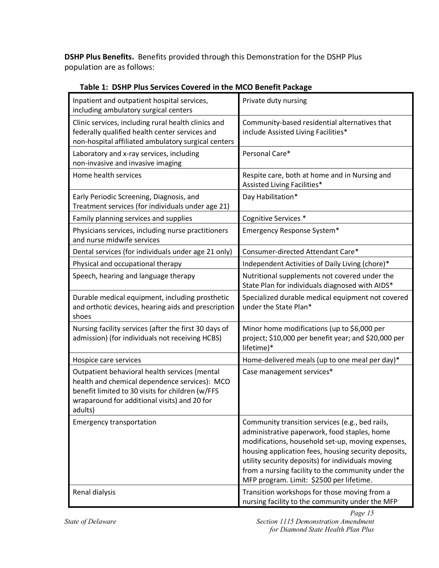**DSHP Plus Benefits.** Benefits provided through this Demonstration for the DSHP Plus population are as follows:

| Inpatient and outpatient hospital services,<br>including ambulatory surgical centers                                                                                                                          | Private duty nursing                                                                                                                                                                                                                                                                                                                                                |
|---------------------------------------------------------------------------------------------------------------------------------------------------------------------------------------------------------------|---------------------------------------------------------------------------------------------------------------------------------------------------------------------------------------------------------------------------------------------------------------------------------------------------------------------------------------------------------------------|
| Clinic services, including rural health clinics and<br>federally qualified health center services and<br>non-hospital affiliated ambulatory surgical centers                                                  | Community-based residential alternatives that<br>include Assisted Living Facilities*                                                                                                                                                                                                                                                                                |
| Laboratory and x-ray services, including<br>non-invasive and invasive imaging                                                                                                                                 | Personal Care*                                                                                                                                                                                                                                                                                                                                                      |
| Home health services                                                                                                                                                                                          | Respite care, both at home and in Nursing and<br>Assisted Living Facilities*                                                                                                                                                                                                                                                                                        |
| Early Periodic Screening, Diagnosis, and<br>Treatment services (for individuals under age 21)                                                                                                                 | Day Habilitation*                                                                                                                                                                                                                                                                                                                                                   |
| Family planning services and supplies                                                                                                                                                                         | Cognitive Services *                                                                                                                                                                                                                                                                                                                                                |
| Physicians services, including nurse practitioners<br>and nurse midwife services                                                                                                                              | Emergency Response System*                                                                                                                                                                                                                                                                                                                                          |
| Dental services (for individuals under age 21 only)                                                                                                                                                           | Consumer-directed Attendant Care*                                                                                                                                                                                                                                                                                                                                   |
| Physical and occupational therapy                                                                                                                                                                             | Independent Activities of Daily Living (chore)*                                                                                                                                                                                                                                                                                                                     |
| Speech, hearing and language therapy                                                                                                                                                                          | Nutritional supplements not covered under the<br>State Plan for individuals diagnosed with AIDS*                                                                                                                                                                                                                                                                    |
| Durable medical equipment, including prosthetic<br>and orthotic devices, hearing aids and prescription<br>shoes                                                                                               | Specialized durable medical equipment not covered<br>under the State Plan*                                                                                                                                                                                                                                                                                          |
| Nursing facility services (after the first 30 days of<br>admission) (for individuals not receiving HCBS)                                                                                                      | Minor home modifications (up to \$6,000 per<br>project; \$10,000 per benefit year; and \$20,000 per<br>lifetime)*                                                                                                                                                                                                                                                   |
| Hospice care services                                                                                                                                                                                         | Home-delivered meals (up to one meal per day)*                                                                                                                                                                                                                                                                                                                      |
| Outpatient behavioral health services (mental<br>health and chemical dependence services): MCO<br>benefit limited to 30 visits for children (w/FFS<br>wraparound for additional visits) and 20 for<br>adults) | Case management services*                                                                                                                                                                                                                                                                                                                                           |
| <b>Emergency transportation</b>                                                                                                                                                                               | Community transition services (e.g., bed rails,<br>administrative paperwork, food staples, home<br>modifications, household set-up, moving expenses,<br>housing application fees, housing security deposits,<br>utility security deposits) for individuals moving<br>from a nursing facility to the community under the<br>MFP program. Limit: \$2500 per lifetime. |
| Renal dialysis                                                                                                                                                                                                | Transition workshops for those moving from a<br>nursing facility to the community under the MFP                                                                                                                                                                                                                                                                     |

 **Table 1: DSHP Plus Services Covered in the MCO Benefit Package**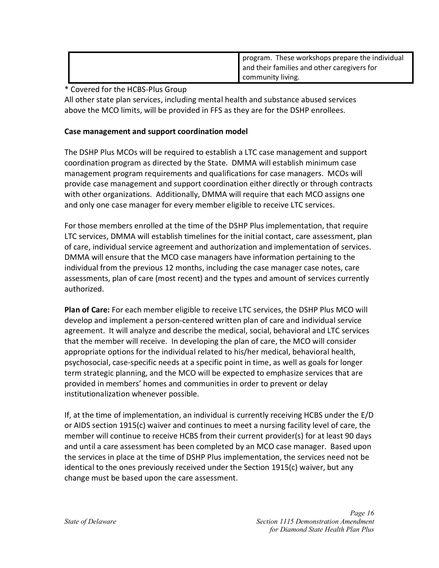| program. These workshops prepare the individual |
|-------------------------------------------------|
| and their families and other caregivers for     |
| <b>Community living.</b>                        |

\* Covered for the HCBS-Plus Group

All other state plan services, including mental health and substance abused services above the MCO limits, will be provided in FFS as they are for the DSHP enrollees.

#### **Case management and support coordination model**

The DSHP Plus MCOs will be required to establish a LTC case management and support coordination program as directed by the State. DMMA will establish minimum case management program requirements and qualifications for case managers. MCOs will provide case management and support coordination either directly or through contracts with other organizations. Additionally, DMMA will require that each MCO assigns one and only one case manager for every member eligible to receive LTC services.

For those members enrolled at the time of the DSHP Plus implementation, that require LTC services, DMMA will establish timelines for the initial contact, care assessment, plan of care, individual service agreement and authorization and implementation of services. DMMA will ensure that the MCO case managers have information pertaining to the individual from the previous 12 months, including the case manager case notes, care assessments, plan of care (most recent) and the types and amount of services currently authorized.

**Plan of Care:** For each member eligible to receive LTC services, the DSHP Plus MCO will develop and implement a person-centered written plan of care and individual service agreement. It will analyze and describe the medical, social, behavioral and LTC services that the member will receive. In developing the plan of care, the MCO will consider appropriate options for the individual related to his/her medical, behavioral health, psychosocial, case-specific needs at a specific point in time, as well as goals for longer term strategic planning, and the MCO will be expected to emphasize services that are provided in members' homes and communities in order to prevent or delay institutionalization whenever possible.

If, at the time of implementation, an individual is currently receiving HCBS under the E/D or AIDS section 1915(c) waiver and continues to meet a nursing facility level of care, the member will continue to receive HCBS from their current provider(s) for at least 90 days and until a care assessment has been completed by an MCO case manager. Based upon the services in place at the time of DSHP Plus implementation, the services need not be identical to the ones previously received under the Section 1915(c) waiver, but any change must be based upon the care assessment.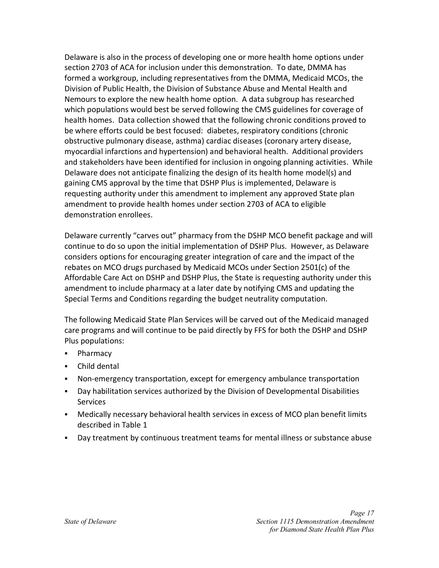Delaware is also in the process of developing one or more health home options under section 2703 of ACA for inclusion under this demonstration. To date, DMMA has formed a workgroup, including representatives from the DMMA, Medicaid MCOs, the Division of Public Health, the Division of Substance Abuse and Mental Health and Nemours to explore the new health home option. A data subgroup has researched which populations would best be served following the CMS guidelines for coverage of health homes. Data collection showed that the following chronic conditions proved to be where efforts could be best focused: diabetes, respiratory conditions (chronic obstructive pulmonary disease, asthma) cardiac diseases (coronary artery disease, myocardial infarctions and hypertension) and behavioral health. Additional providers and stakeholders have been identified for inclusion in ongoing planning activities. While Delaware does not anticipate finalizing the design of its health home model(s) and gaining CMS approval by the time that DSHP Plus is implemented, Delaware is requesting authority under this amendment to implement any approved State plan amendment to provide health homes under section 2703 of ACA to eligible demonstration enrollees.

Delaware currently "carves out" pharmacy from the DSHP MCO benefit package and will continue to do so upon the initial implementation of DSHP Plus. However, as Delaware considers options for encouraging greater integration of care and the impact of the rebates on MCO drugs purchased by Medicaid MCOs under Section 2501(c) of the Affordable Care Act on DSHP and DSHP Plus, the State is requesting authority under this amendment to include pharmacy at a later date by notifying CMS and updating the Special Terms and Conditions regarding the budget neutrality computation.

The following Medicaid State Plan Services will be carved out of the Medicaid managed care programs and will continue to be paid directly by FFS for both the DSHP and DSHP Plus populations:

- Pharmacy
- **Child dental**
- Non-emergency transportation, except for emergency ambulance transportation
- Day habilitation services authorized by the Division of Developmental Disabilities Services
- Medically necessary behavioral health services in excess of MCO plan benefit limits described in Table 1
- Day treatment by continuous treatment teams for mental illness or substance abuse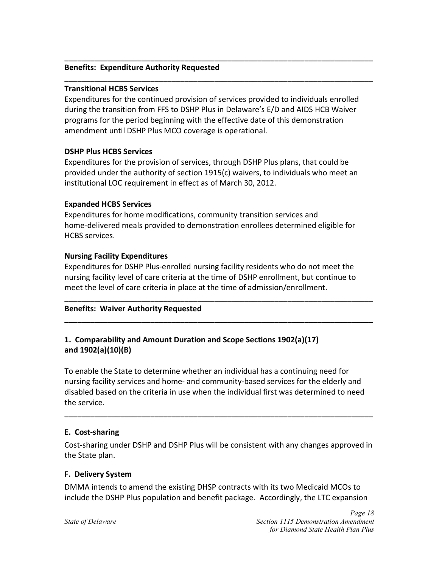#### **Benefits: Expenditure Authority Requested**

#### **Transitional HCBS Services**

Expenditures for the continued provision of services provided to individuals enrolled during the transition from FFS to DSHP Plus in Delaware's E/D and AIDS HCB Waiver programs for the period beginning with the effective date of this demonstration amendment until DSHP Plus MCO coverage is operational.

**\_\_\_\_\_\_\_\_\_\_\_\_\_\_\_\_\_\_\_\_\_\_\_\_\_\_\_\_\_\_\_\_\_\_\_\_\_\_\_\_\_\_\_\_\_\_\_\_\_\_\_\_\_\_\_\_\_\_\_\_\_\_\_\_\_\_\_\_\_\_\_\_** 

**\_\_\_\_\_\_\_\_\_\_\_\_\_\_\_\_\_\_\_\_\_\_\_\_\_\_\_\_\_\_\_\_\_\_\_\_\_\_\_\_\_\_\_\_\_\_\_\_\_\_\_\_\_\_\_\_\_\_\_\_\_\_\_\_\_\_\_\_\_\_\_\_** 

#### **DSHP Plus HCBS Services**

Expenditures for the provision of services, through DSHP Plus plans, that could be provided under the authority of section 1915(c) waivers, to individuals who meet an institutional LOC requirement in effect as of March 30, 2012.

#### **Expanded HCBS Services**

Expenditures for home modifications, community transition services and home-delivered meals provided to demonstration enrollees determined eligible for HCBS services.

#### **Nursing Facility Expenditures**

Expenditures for DSHP Plus-enrolled nursing facility residents who do not meet the nursing facility level of care criteria at the time of DSHP enrollment, but continue to meet the level of care criteria in place at the time of admission/enrollment.

**\_\_\_\_\_\_\_\_\_\_\_\_\_\_\_\_\_\_\_\_\_\_\_\_\_\_\_\_\_\_\_\_\_\_\_\_\_\_\_\_\_\_\_\_\_\_\_\_\_\_\_\_\_\_\_\_\_\_\_\_\_\_\_\_\_\_\_\_\_\_\_\_** 

**\_\_\_\_\_\_\_\_\_\_\_\_\_\_\_\_\_\_\_\_\_\_\_\_\_\_\_\_\_\_\_\_\_\_\_\_\_\_\_\_\_\_\_\_\_\_\_\_\_\_\_\_\_\_\_\_\_\_\_\_\_\_\_\_\_\_\_\_\_\_\_\_** 

#### **Benefits: Waiver Authority Requested**

## **1. Comparability and Amount Duration and Scope Sections 1902(a)(17) and 1902(a)(10)(B)**

To enable the State to determine whether an individual has a continuing need for nursing facility services and home- and community-based services for the elderly and disabled based on the criteria in use when the individual first was determined to need the service.

#### <span id="page-19-0"></span>**E. Cost-sharing**

Cost-sharing under DSHP and DSHP Plus will be consistent with any changes approved in the State plan.

**\_\_\_\_\_\_\_\_\_\_\_\_\_\_\_\_\_\_\_\_\_\_\_\_\_\_\_\_\_\_\_\_\_\_\_\_\_\_\_\_\_\_\_\_\_\_\_\_\_\_\_\_\_\_\_\_\_\_\_\_\_\_\_\_\_\_\_\_\_\_\_\_** 

#### <span id="page-19-1"></span>**F. Delivery System**

DMMA intends to amend the existing DHSP contracts with its two Medicaid MCOs to include the DSHP Plus population and benefit package. Accordingly, the LTC expansion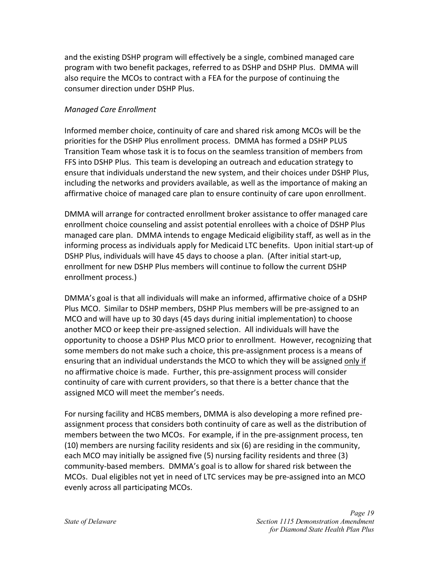and the existing DSHP program will effectively be a single, combined managed care program with two benefit packages, referred to as DSHP and DSHP Plus. DMMA will also require the MCOs to contract with a FEA for the purpose of continuing the consumer direction under DSHP Plus.

#### *Managed Care Enrollment*

Informed member choice, continuity of care and shared risk among MCOs will be the priorities for the DSHP Plus enrollment process. DMMA has formed a DSHP PLUS Transition Team whose task it is to focus on the seamless transition of members from FFS into DSHP Plus. This team is developing an outreach and education strategy to ensure that individuals understand the new system, and their choices under DSHP Plus, including the networks and providers available, as well as the importance of making an affirmative choice of managed care plan to ensure continuity of care upon enrollment.

DMMA will arrange for contracted enrollment broker assistance to offer managed care enrollment choice counseling and assist potential enrollees with a choice of DSHP Plus managed care plan. DMMA intends to engage Medicaid eligibility staff, as well as in the informing process as individuals apply for Medicaid LTC benefits. Upon initial start-up of DSHP Plus, individuals will have 45 days to choose a plan. (After initial start-up, enrollment for new DSHP Plus members will continue to follow the current DSHP enrollment process.)

DMMA's goal is that all individuals will make an informed, affirmative choice of a DSHP Plus MCO. Similar to DSHP members, DSHP Plus members will be pre-assigned to an MCO and will have up to 30 days (45 days during initial implementation) to choose another MCO or keep their pre-assigned selection. All individuals will have the opportunity to choose a DSHP Plus MCO prior to enrollment. However, recognizing that some members do not make such a choice, this pre-assignment process is a means of ensuring that an individual understands the MCO to which they will be assigned only if no affirmative choice is made. Further, this pre-assignment process will consider continuity of care with current providers, so that there is a better chance that the assigned MCO will meet the member's needs.

For nursing facility and HCBS members, DMMA is also developing a more refined preassignment process that considers both continuity of care as well as the distribution of members between the two MCOs. For example, if in the pre-assignment process, ten (10) members are nursing facility residents and six (6) are residing in the community, each MCO may initially be assigned five (5) nursing facility residents and three (3) community-based members. DMMA's goal is to allow for shared risk between the MCOs. Dual eligibles not yet in need of LTC services may be pre-assigned into an MCO evenly across all participating MCOs.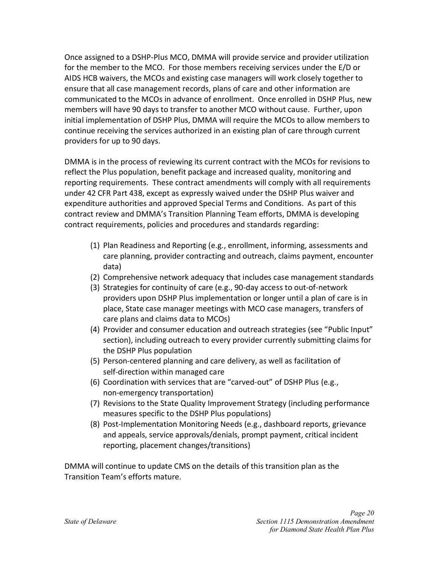Once assigned to a DSHP-Plus MCO, DMMA will provide service and provider utilization for the member to the MCO. For those members receiving services under the E/D or AIDS HCB waivers, the MCOs and existing case managers will work closely together to ensure that all case management records, plans of care and other information are communicated to the MCOs in advance of enrollment. Once enrolled in DSHP Plus, new members will have 90 days to transfer to another MCO without cause. Further, upon initial implementation of DSHP Plus, DMMA will require the MCOs to allow members to continue receiving the services authorized in an existing plan of care through current providers for up to 90 days.

DMMA is in the process of reviewing its current contract with the MCOs for revisions to reflect the Plus population, benefit package and increased quality, monitoring and reporting requirements. These contract amendments will comply with all requirements under 42 CFR Part 438, except as expressly waived under the DSHP Plus waiver and expenditure authorities and approved Special Terms and Conditions. As part of this contract review and DMMA's Transition Planning Team efforts, DMMA is developing contract requirements, policies and procedures and standards regarding:

- (1) Plan Readiness and Reporting (e.g., enrollment, informing, assessments and care planning, provider contracting and outreach, claims payment, encounter data)
- (2) Comprehensive network adequacy that includes case management standards
- (3) Strategies for continuity of care (e.g., 90-day access to out-of-network providers upon DSHP Plus implementation or longer until a plan of care is in place, State case manager meetings with MCO case managers, transfers of care plans and claims data to MCOs)
- (4) Provider and consumer education and outreach strategies (see "Public Input" section), including outreach to every provider currently submitting claims for the DSHP Plus population
- (5) Person-centered planning and care delivery, as well as facilitation of self-direction within managed care
- (6) Coordination with services that are "carved-out" of DSHP Plus (e.g., non-emergency transportation)
- (7) Revisions to the State Quality Improvement Strategy (including performance measures specific to the DSHP Plus populations)
- (8) Post-Implementation Monitoring Needs (e.g., dashboard reports, grievance and appeals, service approvals/denials, prompt payment, critical incident reporting, placement changes/transitions)

DMMA will continue to update CMS on the details of this transition plan as the Transition Team's efforts mature.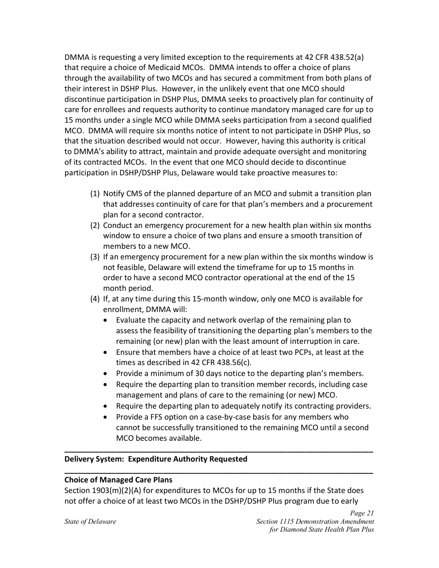DMMA is requesting a very limited exception to the requirements at 42 CFR 438.52(a) that require a choice of Medicaid MCOs. DMMA intends to offer a choice of plans through the availability of two MCOs and has secured a commitment from both plans of their interest in DSHP Plus. However, in the unlikely event that one MCO should discontinue participation in DSHP Plus, DMMA seeks to proactively plan for continuity of care for enrollees and requests authority to continue mandatory managed care for up to 15 months under a single MCO while DMMA seeks participation from a second qualified MCO. DMMA will require six months notice of intent to not participate in DSHP Plus, so that the situation described would not occur. However, having this authority is critical to DMMA's ability to attract, maintain and provide adequate oversight and monitoring of its contracted MCOs. In the event that one MCO should decide to discontinue participation in DSHP/DSHP Plus, Delaware would take proactive measures to:

- (1) Notify CMS of the planned departure of an MCO and submit a transition plan that addresses continuity of care for that plan's members and a procurement plan for a second contractor.
- (2) Conduct an emergency procurement for a new health plan within six months window to ensure a choice of two plans and ensure a smooth transition of members to a new MCO.
- (3) If an emergency procurement for a new plan within the six months window is not feasible, Delaware will extend the timeframe for up to 15 months in order to have a second MCO contractor operational at the end of the 15 month period.
- (4) If, at any time during this 15-month window, only one MCO is available for enrollment, DMMA will:
	- $\bullet$  Evaluate the capacity and network overlap of the remaining plan to assess the feasibility of transitioning the departing plan's members to the remaining (or new) plan with the least amount of interruption in care.
	- **Ensure that members have a choice of at least two PCPs, at least at the** times as described in 42 CFR 438.56(c).
	- Provide a minimum of 30 days notice to the departing plan's members.
	- Require the departing plan to transition member records, including case management and plans of care to the remaining (or new) MCO.
	- Require the departing plan to adequately notify its contracting providers.
	- Provide a FFS option on a case-by-case basis for any members who cannot be successfully transitioned to the remaining MCO until a second MCO becomes available.

### **Delivery System: Expenditure Authority Requested**

#### **Choice of Managed Care Plans**

Section 1903(m)(2)(A) for expenditures to MCOs for up to 15 months if the State does not offer a choice of at least two MCOs in the DSHP/DSHP Plus program due to early

**\_\_\_\_\_\_\_\_\_\_\_\_\_\_\_\_\_\_\_\_\_\_\_\_\_\_\_\_\_\_\_\_\_\_\_\_\_\_\_\_\_\_\_\_\_\_\_\_\_\_\_\_\_\_\_\_\_\_\_\_\_\_\_\_\_\_\_\_\_\_\_\_** 

**\_\_\_\_\_\_\_\_\_\_\_\_\_\_\_\_\_\_\_\_\_\_\_\_\_\_\_\_\_\_\_\_\_\_\_\_\_\_\_\_\_\_\_\_\_\_\_\_\_\_\_\_\_\_\_\_\_\_\_\_\_\_\_\_\_\_\_\_\_\_\_\_**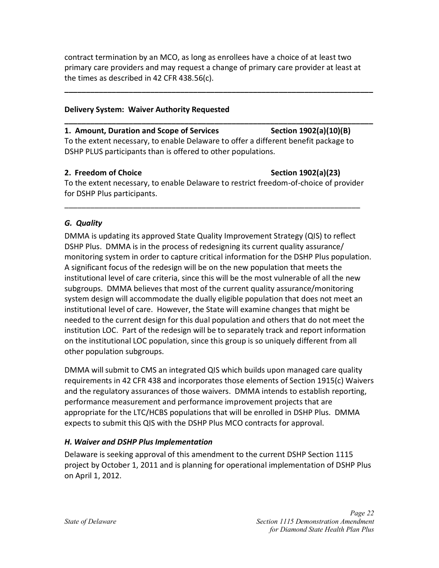contract termination by an MCO, as long as enrollees have a choice of at least two primary care providers and may request a change of primary care provider at least at the times as described in 42 CFR 438.56(c).

**\_\_\_\_\_\_\_\_\_\_\_\_\_\_\_\_\_\_\_\_\_\_\_\_\_\_\_\_\_\_\_\_\_\_\_\_\_\_\_\_\_\_\_\_\_\_\_\_\_\_\_\_\_\_\_\_\_\_\_\_\_\_\_\_\_\_\_\_\_\_\_\_** 

**\_\_\_\_\_\_\_\_\_\_\_\_\_\_\_\_\_\_\_\_\_\_\_\_\_\_\_\_\_\_\_\_\_\_\_\_\_\_\_\_\_\_\_\_\_\_\_\_\_\_\_\_\_\_\_\_\_\_\_\_\_\_\_\_\_\_\_\_\_\_\_\_**

#### **Delivery System: Waiver Authority Requested**

# **1. Amount, Duration and Scope of Services Section 1902(a)(10)(B)**

To the extent necessary, to enable Delaware to offer a different benefit package to DSHP PLUS participants than is offered to other populations.

#### **2. Freedom of Choice Section 1902(a)(23) Section 1902(a)**

To the extent necessary, to enable Delaware to restrict freedom-of-choice of provider for DSHP Plus participants.

\_\_\_\_\_\_\_\_\_\_\_\_\_\_\_\_\_\_\_\_\_\_\_\_\_\_\_\_\_\_\_\_\_\_\_\_\_\_\_\_\_\_\_\_\_\_\_\_\_\_\_\_\_\_\_\_\_\_\_\_\_\_\_\_\_\_\_\_\_

## <span id="page-23-0"></span>*G. Quality*

DMMA is updating its approved State Quality Improvement Strategy (QIS) to reflect DSHP Plus. DMMA is in the process of redesigning its current quality assurance/ monitoring system in order to capture critical information for the DSHP Plus population. A significant focus of the redesign will be on the new population that meets the institutional level of care criteria, since this will be the most vulnerable of all the new subgroups. DMMA believes that most of the current quality assurance/monitoring system design will accommodate the dually eligible population that does not meet an institutional level of care. However, the State will examine changes that might be needed to the current design for this dual population and others that do not meet the institution LOC. Part of the redesign will be to separately track and report information on the institutional LOC population, since this group is so uniquely different from all other population subgroups.

DMMA will submit to CMS an integrated QIS which builds upon managed care quality requirements in 42 CFR 438 and incorporates those elements of Section 1915(c) Waivers and the regulatory assurances of those waivers. DMMA intends to establish reporting, performance measurement and performance improvement projects that are appropriate for the LTC/HCBS populations that will be enrolled in DSHP Plus. DMMA expects to submit this QIS with the DSHP Plus MCO contracts for approval.

### <span id="page-23-1"></span>*H. Waiver and DSHP Plus Implementation*

Delaware is seeking approval of this amendment to the current DSHP Section 1115 project by October 1, 2011 and is planning for operational implementation of DSHP Plus on April 1, 2012.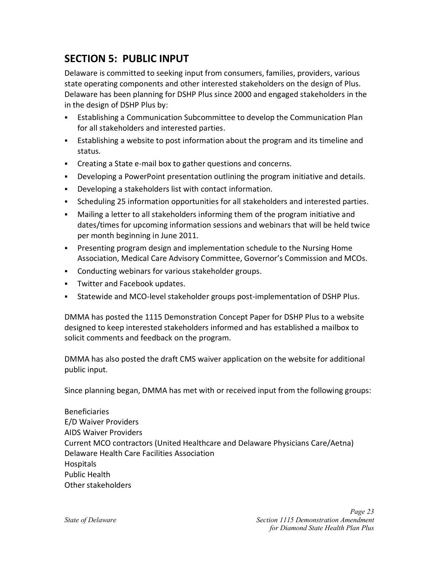# <span id="page-24-0"></span>**SECTION 5: PUBLIC INPUT**

Delaware is committed to seeking input from consumers, families, providers, various state operating components and other interested stakeholders on the design of Plus. Delaware has been planning for DSHP Plus since 2000 and engaged stakeholders in the in the design of DSHP Plus by:

- Establishing a Communication Subcommittee to develop the Communication Plan for all stakeholders and interested parties.
- Establishing a website to post information about the program and its timeline and status.
- Creating a State e-mail box to gather questions and concerns.
- Developing a PowerPoint presentation outlining the program initiative and details.
- Developing a stakeholders list with contact information.
- Scheduling 25 information opportunities for all stakeholders and interested parties.
- Mailing a letter to all stakeholders informing them of the program initiative and dates/times for upcoming information sessions and webinars that will be held twice per month beginning in June 2011.
- **Presenting program design and implementation schedule to the Nursing Home** Association, Medical Care Advisory Committee, Governor's Commission and MCOs.
- Conducting webinars for various stakeholder groups.
- **Twitter and Facebook updates.**
- Statewide and MCO-level stakeholder groups post-implementation of DSHP Plus.

DMMA has posted the 1115 Demonstration Concept Paper for DSHP Plus to a website designed to keep interested stakeholders informed and has established a mailbox to solicit comments and feedback on the program.

DMMA has also posted the draft CMS waiver application on the website for additional public input.

Since planning began, DMMA has met with or received input from the following groups:

Beneficiaries E/D Waiver Providers AIDS Waiver Providers Current MCO contractors (United Healthcare and Delaware Physicians Care/Aetna) Delaware Health Care Facilities Association Hospitals Public Health Other stakeholders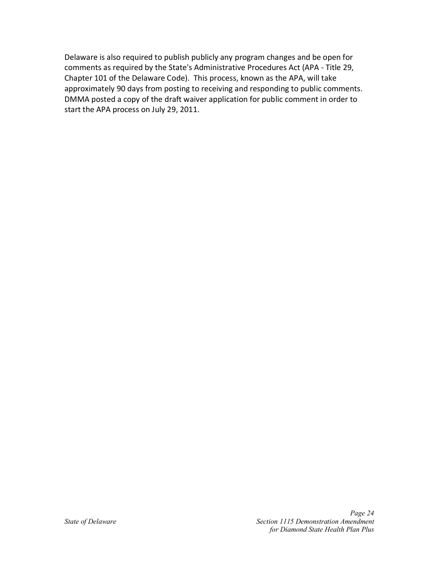Delaware is also required to publish publicly any program changes and be open for comments as required by the State's Administrative Procedures Act (APA - Title 29, Chapter 101 of the Delaware Code). This process, known as the APA, will take approximately 90 days from posting to receiving and responding to public comments. DMMA posted a copy of the draft waiver application for public comment in order to start the APA process on July 29, 2011.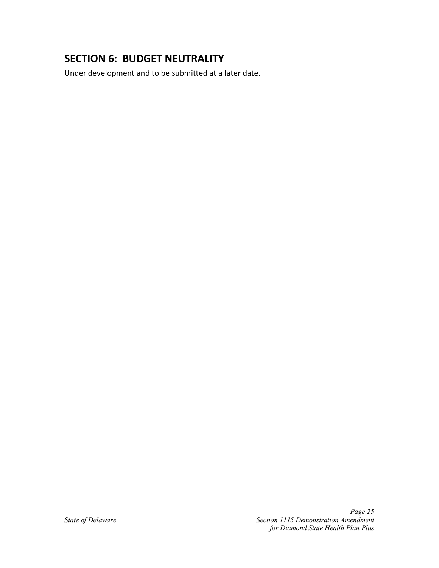# <span id="page-26-0"></span>**SECTION 6: BUDGET NEUTRALITY**

Under development and to be submitted at a later date.